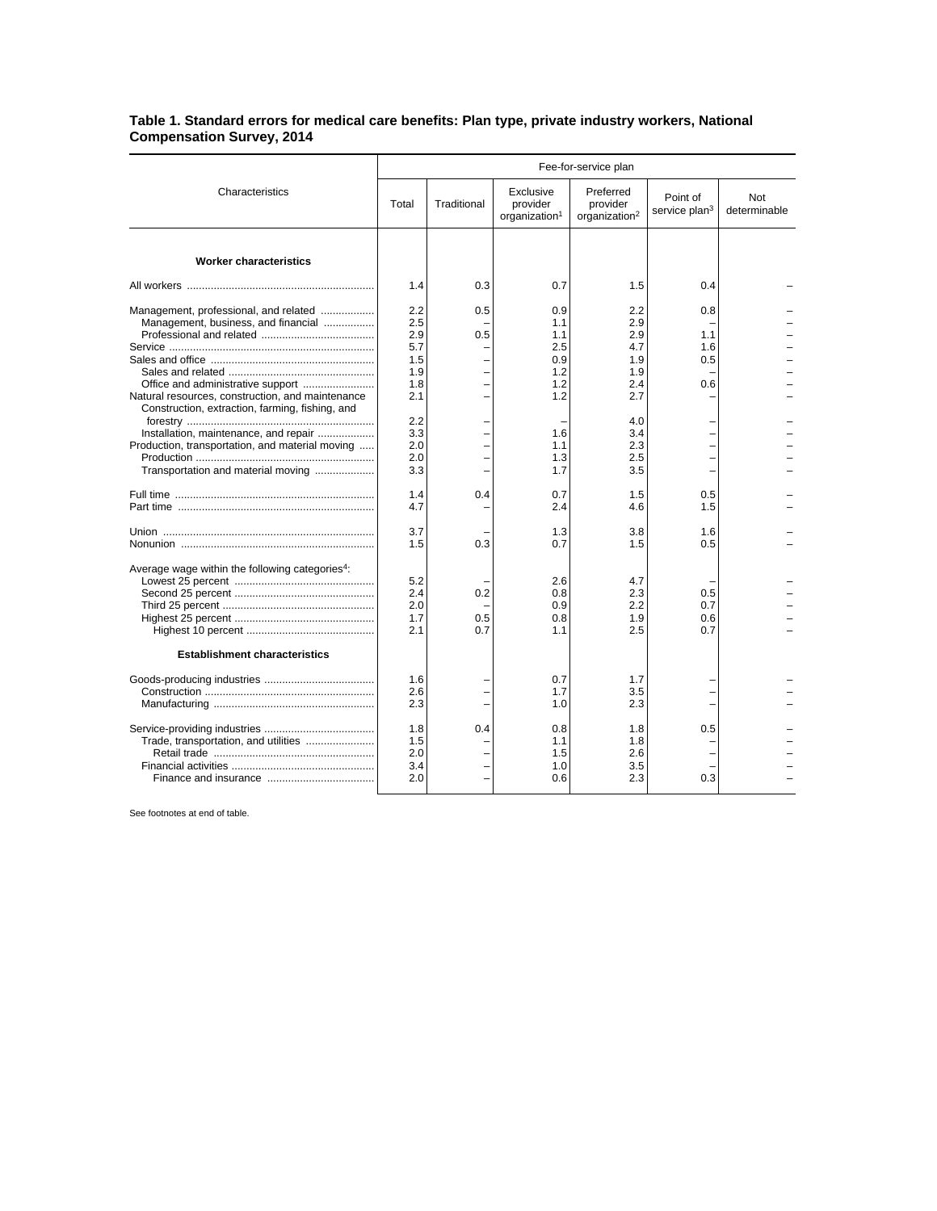## **Table 1. Standard errors for medical care benefits: Plan type, private industry workers, National Compensation Survey, 2014**

|                                                                                                                                                                                   | Fee-for-service plan                                 |                   |                                                      |                                                      |                                       |                     |
|-----------------------------------------------------------------------------------------------------------------------------------------------------------------------------------|------------------------------------------------------|-------------------|------------------------------------------------------|------------------------------------------------------|---------------------------------------|---------------------|
| Characteristics                                                                                                                                                                   | Total                                                | Traditional       | Exclusive<br>provider<br>organization <sup>1</sup>   | Preferred<br>provider<br>organization <sup>2</sup>   | Point of<br>service plan <sup>3</sup> | Not<br>determinable |
| <b>Worker characteristics</b>                                                                                                                                                     |                                                      |                   |                                                      |                                                      |                                       |                     |
|                                                                                                                                                                                   | 1.4                                                  | 0.3               | 0.7                                                  | 1.5                                                  | 0.4                                   |                     |
| Management, professional, and related<br>Management, business, and financial<br>Natural resources, construction, and maintenance                                                  | 2.2<br>2.5<br>2.9<br>5.7<br>1.5<br>1.9<br>1.8<br>2.1 | 0.5<br>0.5        | 0.9<br>1.1<br>1.1<br>2.5<br>0.9<br>1.2<br>1.2<br>1.2 | 2.2<br>2.9<br>2.9<br>4.7<br>1.9<br>1.9<br>2.4<br>2.7 | 0.8<br>1.1<br>1.6<br>0.5<br>0.6       |                     |
| Construction, extraction, farming, fishing, and<br>Installation, maintenance, and repair<br>Production, transportation, and material moving<br>Transportation and material moving | 2.2<br>3.3<br>2.0<br>2.0<br>3.3                      |                   | 1.6<br>1.1<br>1.3<br>1.7                             | 4.0<br>3.4<br>2.3<br>2.5<br>3.5                      |                                       |                     |
|                                                                                                                                                                                   | 1.4<br>4.7                                           | 0.4               | 0.7<br>2.4                                           | 1.5<br>4.6                                           | 0.5<br>1.5                            |                     |
|                                                                                                                                                                                   | 3.7<br>1.5                                           | 0.3               | 1.3<br>0.7                                           | 3.8<br>1.5                                           | 1.6<br>0.5                            |                     |
| Average wage within the following categories <sup>4</sup> :                                                                                                                       | 5.2<br>2.4<br>2.0<br>1.7<br>2.1                      | 0.2<br>0.5<br>0.7 | 2.6<br>0.8<br>0.9<br>0.8<br>1.1                      | 4.7<br>2.3<br>2.2<br>1.9<br>2.5                      | 0.5<br>0.7<br>0.6<br>0.7              |                     |
| <b>Establishment characteristics</b>                                                                                                                                              |                                                      |                   |                                                      |                                                      |                                       |                     |
|                                                                                                                                                                                   | 1.6<br>2.6<br>2.3                                    |                   | 0.7<br>1.7<br>1.0                                    | 1.7<br>3.5<br>2.3                                    |                                       |                     |
| Trade, transportation, and utilities                                                                                                                                              | 1.8<br>1.5<br>2.0<br>3.4<br>2.0                      | 0.4               | 0.8<br>1.1<br>1.5<br>1.0<br>0.6                      | 1.8<br>1.8<br>2.6<br>3.5<br>2.3                      | 0.5<br>0.3                            |                     |

See footnotes at end of table.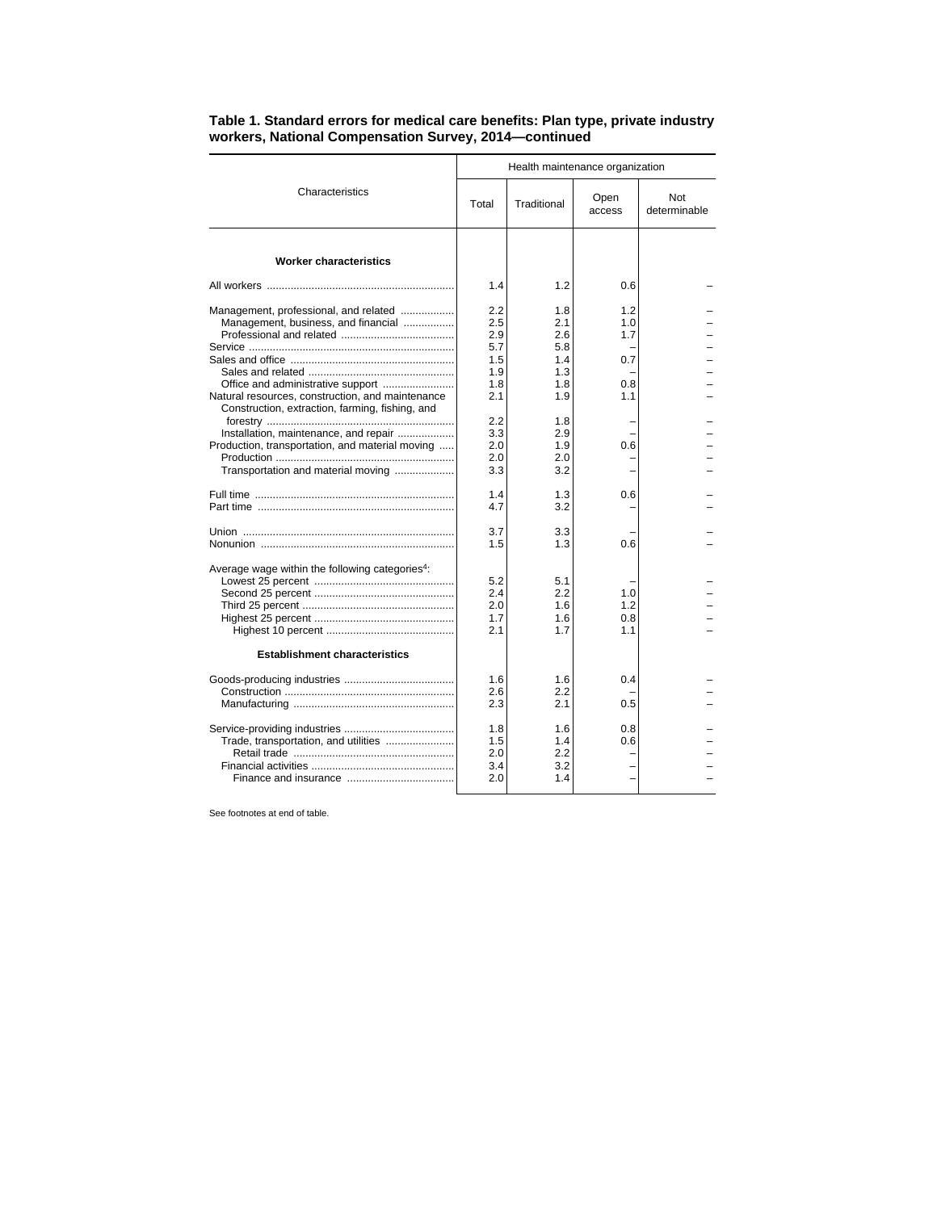|                                                                                                                                                                                     | Health maintenance organization                             |                                                             |                                        |                     |  |  |
|-------------------------------------------------------------------------------------------------------------------------------------------------------------------------------------|-------------------------------------------------------------|-------------------------------------------------------------|----------------------------------------|---------------------|--|--|
| Characteristics                                                                                                                                                                     | Total                                                       | Traditional                                                 | Open<br>access                         | Not<br>determinable |  |  |
| <b>Worker characteristics</b>                                                                                                                                                       |                                                             |                                                             |                                        |                     |  |  |
|                                                                                                                                                                                     | 1.4                                                         | 1.2                                                         | 0.6                                    |                     |  |  |
| Management, professional, and related<br>Management, business, and financial<br>Natural resources, construction, and maintenance<br>Construction, extraction, farming, fishing, and | 2.2<br>2.5<br>2.9<br>5.7<br>1.5<br>1.9<br>1.8<br>2.1<br>2.2 | 1.8<br>2.1<br>2.6<br>5.8<br>1.4<br>1.3<br>1.8<br>1.9<br>1.8 | 1.2<br>1.0<br>1.7<br>0.7<br>0.8<br>1.1 |                     |  |  |
| Installation, maintenance, and repair                                                                                                                                               | 3.3                                                         | 2.9                                                         |                                        |                     |  |  |
| Production, transportation, and material moving<br>Transportation and material moving                                                                                               | 2.0<br>2.0<br>3.3                                           | 1.9<br>2.0<br>3.2                                           | 0.6                                    |                     |  |  |
|                                                                                                                                                                                     | 1.4<br>4.7                                                  | 1.3<br>3.2                                                  | 0.6                                    |                     |  |  |
|                                                                                                                                                                                     | 3.7<br>1.5                                                  | 3.3<br>1.3                                                  | 0.6                                    |                     |  |  |
| Average wage within the following categories <sup>4</sup> :                                                                                                                         | 5.2<br>2.4<br>2.0<br>1.7<br>2.1                             | 5.1<br>2.2<br>1.6<br>1.6<br>1.7                             | 1.0<br>1.2<br>0.8<br>1.1               |                     |  |  |
| <b>Establishment characteristics</b>                                                                                                                                                |                                                             |                                                             |                                        |                     |  |  |
|                                                                                                                                                                                     | 1.6<br>2.6<br>2.3                                           | 1.6<br>2.2<br>2.1                                           | 0.4<br>0.5                             |                     |  |  |
| Trade, transportation, and utilities                                                                                                                                                | 1.8<br>1.5<br>2.0<br>3.4<br>2.0                             | 1.6<br>1.4<br>2.2<br>3.2<br>1.4                             | 0.8<br>0.6                             |                     |  |  |

## **Table 1. Standard errors for medical care benefits: Plan type, private industry workers, National Compensation Survey, 2014—continued**

See footnotes at end of table.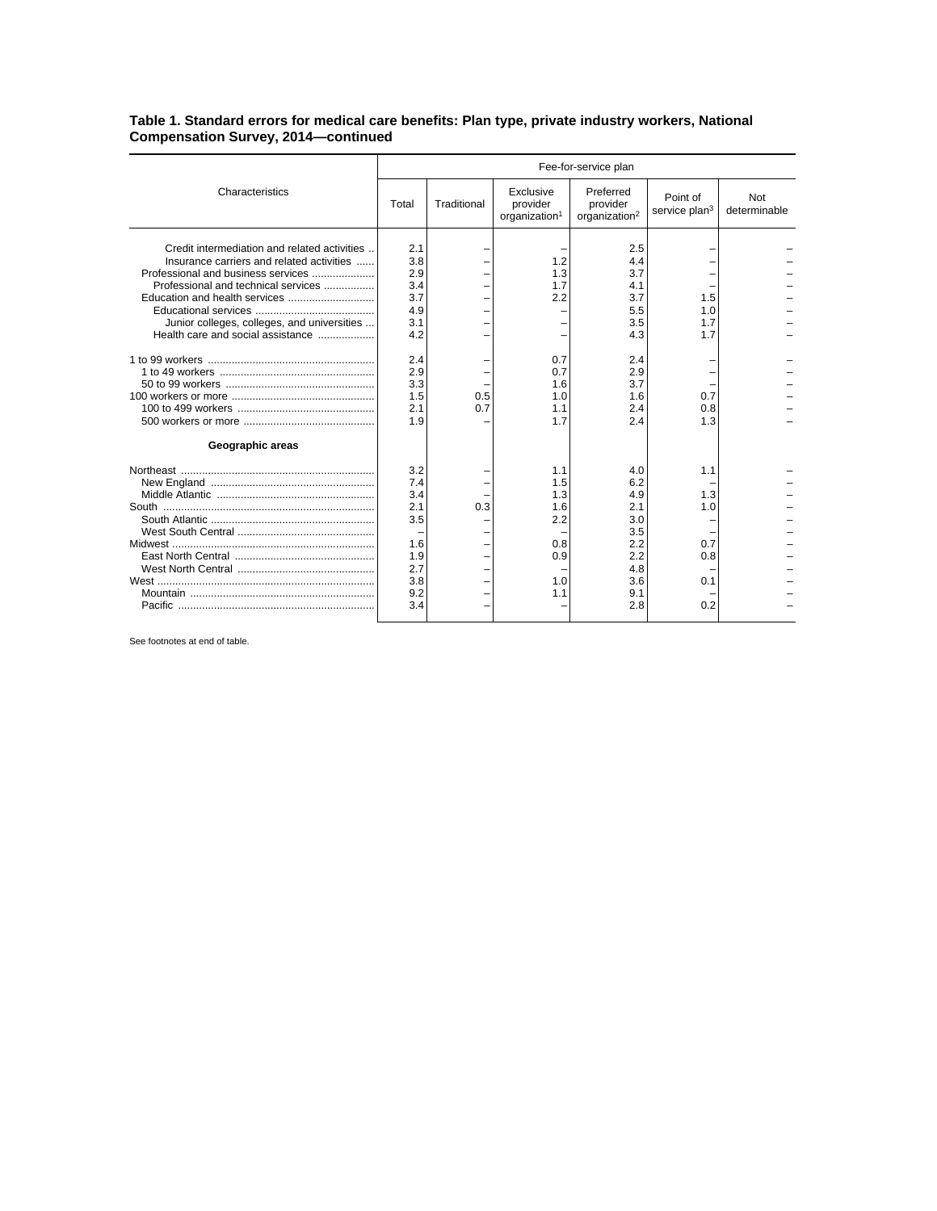## **Table 1. Standard errors for medical care benefits: Plan type, private industry workers, National Compensation Survey, 2014—continued**

|                                                                                                                                                                                                                                                                                             |                                                                                                | Fee-for-service plan |                                                                    |                                                                                                |                                               |                     |  |  |
|---------------------------------------------------------------------------------------------------------------------------------------------------------------------------------------------------------------------------------------------------------------------------------------------|------------------------------------------------------------------------------------------------|----------------------|--------------------------------------------------------------------|------------------------------------------------------------------------------------------------|-----------------------------------------------|---------------------|--|--|
| Characteristics                                                                                                                                                                                                                                                                             | Total                                                                                          | Traditional          | Exclusive<br>provider<br>organization <sup>1</sup>                 | Preferred<br>provider<br>organization <sup>2</sup>                                             | Point of<br>service plan <sup>3</sup>         | Not<br>determinable |  |  |
| Credit intermediation and related activities<br>Insurance carriers and related activities<br>Professional and business services<br>Professional and technical services<br>Education and health services<br>Junior colleges, colleges, and universities<br>Health care and social assistance | 2.1<br>3.8<br>2.9<br>3.4<br>3.7<br>4.9<br>3.1<br>4.2<br>2.4<br>2.9<br>3.3<br>1.5<br>2.1<br>1.9 | 0.5<br>0.7           | 1.2<br>1.3<br>1.7<br>2.2<br>0.7<br>0.7<br>1.6<br>1.0<br>1.1<br>1.7 | 2.5<br>4.4<br>3.7<br>4.1<br>3.7<br>5.5<br>3.5<br>4.3<br>2.4<br>2.9<br>3.7<br>1.6<br>2.4<br>2.4 | 1.5<br>1.0<br>1.7<br>1.7<br>0.7<br>0.8<br>1.3 |                     |  |  |
| Geographic areas                                                                                                                                                                                                                                                                            |                                                                                                |                      |                                                                    |                                                                                                |                                               |                     |  |  |
|                                                                                                                                                                                                                                                                                             | 3.2<br>7.4<br>3.4<br>2.1<br>3.5<br>1.6<br>1.9<br>2.7<br>3.8<br>9.2<br>3.4                      | 0.3                  | 1.1<br>1.5<br>1.3<br>1.6<br>2.2<br>0.8<br>0.9<br>1.0<br>1.1        | 4.0<br>6.2<br>4.9<br>2.1<br>3.0<br>3.5<br>2.2<br>2.2<br>4.8<br>3.6<br>9.1<br>2.8               | 1.1<br>1.3<br>1.0<br>0.7<br>0.8<br>0.1<br>0.2 |                     |  |  |

See footnotes at end of table.